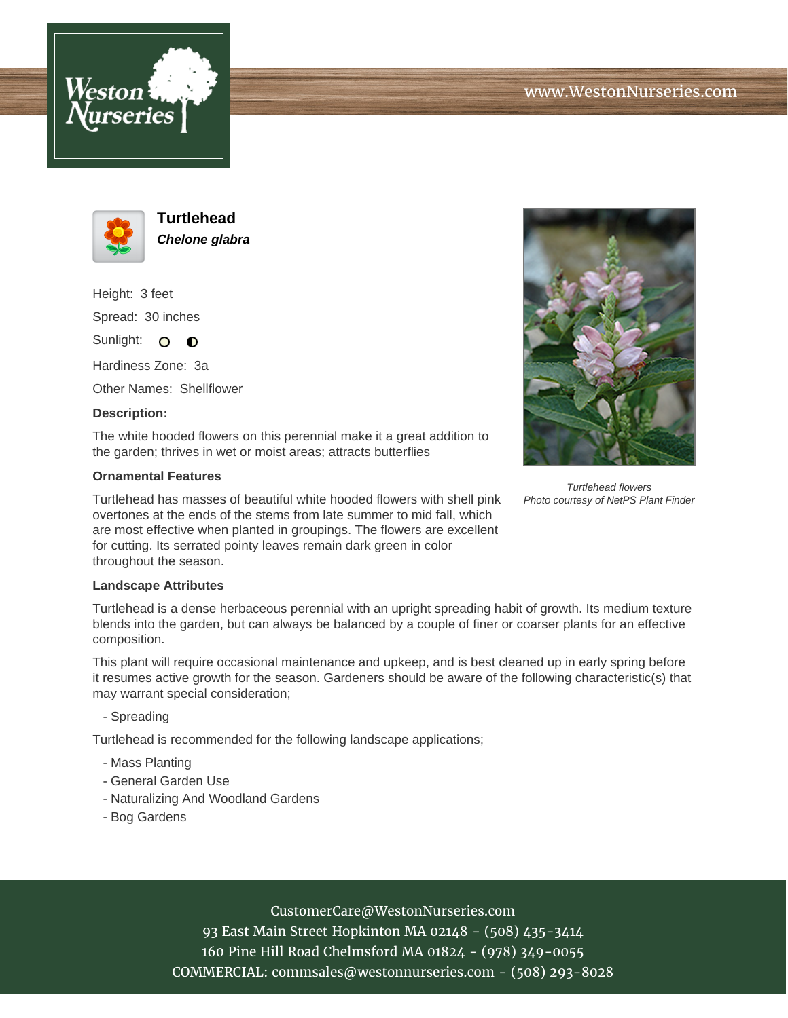



**Turtlehead Chelone glabra**

Height: 3 feet Spread: 30 inches

Sunlight: O **O** 

Hardiness Zone: 3a

Other Names: Shellflower

## **Description:**

The white hooded flowers on this perennial make it a great addition to the garden; thrives in wet or moist areas; attracts butterflies

## **Ornamental Features**

Turtlehead has masses of beautiful white hooded flowers with shell pink overtones at the ends of the stems from late summer to mid fall, which are most effective when planted in groupings. The flowers are excellent for cutting. Its serrated pointy leaves remain dark green in color throughout the season.

## **Landscape Attributes**

Turtlehead is a dense herbaceous perennial with an upright spreading habit of growth. Its medium texture blends into the garden, but can always be balanced by a couple of finer or coarser plants for an effective composition.

This plant will require occasional maintenance and upkeep, and is best cleaned up in early spring before it resumes active growth for the season. Gardeners should be aware of the following characteristic(s) that may warrant special consideration;

- Spreading

Turtlehead is recommended for the following landscape applications;

- Mass Planting
- General Garden Use
- Naturalizing And Woodland Gardens
- Bog Gardens



93 East Main Street Hopkinton MA 02148 - (508) 435-3414 160 Pine Hill Road Chelmsford MA 01824 - (978) 349-0055 COMMERCIAL: commsales@westonnurseries.com - (508) 293-8028



Turtlehead flowers Photo courtesy of NetPS Plant Finder